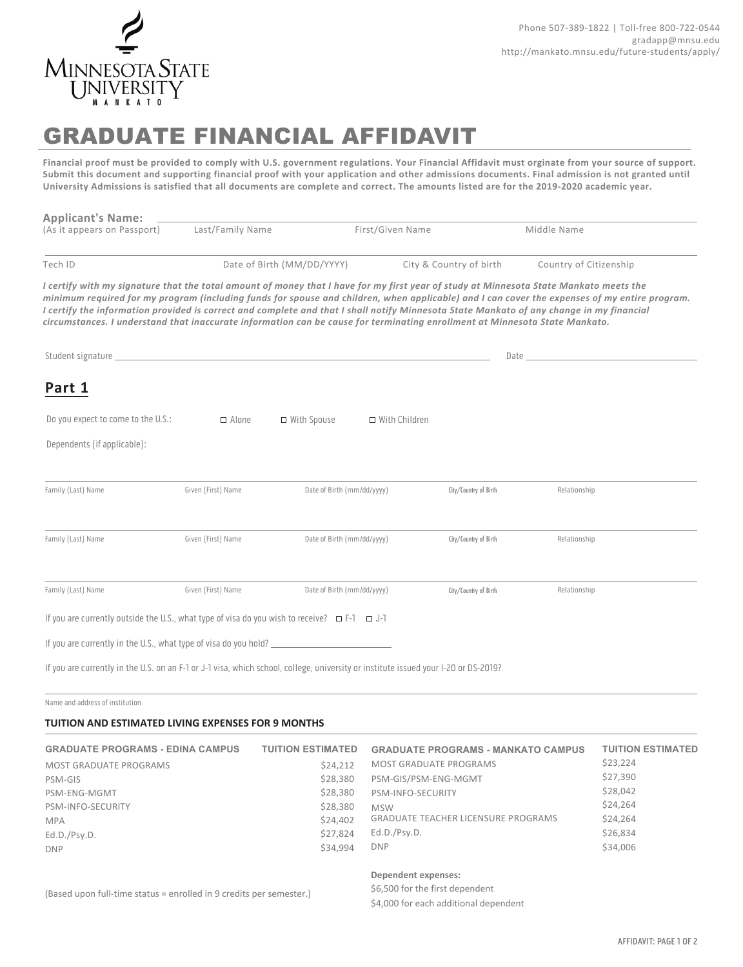

# GRADUATE FINANCIAL AFFIDAVIT

**Financial proof must be provided to comply with U.S. government regulations. Your Financial Affidavit must orginate from your source of support. Submit this document and supporting financial proof with your application and other admissions documents. Final admission is not granted until University Admissions is satisfied that all documents are complete and correct. The amounts listed are for the 2019-2020 academic year.**

| <b>Applicant's Name:</b>                                                                                                                                                                                                                                                                                                                                                                                                                                                                                                                                           |                    |                            |                      |                         |                                                                                                                                                                                                                                |  |
|--------------------------------------------------------------------------------------------------------------------------------------------------------------------------------------------------------------------------------------------------------------------------------------------------------------------------------------------------------------------------------------------------------------------------------------------------------------------------------------------------------------------------------------------------------------------|--------------------|----------------------------|----------------------|-------------------------|--------------------------------------------------------------------------------------------------------------------------------------------------------------------------------------------------------------------------------|--|
| (As it appears on Passport)                                                                                                                                                                                                                                                                                                                                                                                                                                                                                                                                        | Last/Family Name   |                            | First/Given Name     |                         | Middle Name                                                                                                                                                                                                                    |  |
| Tech ID                                                                                                                                                                                                                                                                                                                                                                                                                                                                                                                                                            |                    | Date of Birth (MM/DD/YYYY) |                      | City & Country of birth | Country of Citizenship                                                                                                                                                                                                         |  |
| I certify with my signature that the total amount of money that I have for my first year of study at Minnesota State Mankato meets the<br>minimum required for my program (including funds for spouse and children, when applicable) and I can cover the expenses of my entire program.<br>I certify the information provided is correct and complete and that I shall notify Minnesota State Mankato of any change in my financial<br>circumstances. I understand that inaccurate information can be cause for terminating enrollment at Minnesota State Mankato. |                    |                            |                      |                         |                                                                                                                                                                                                                                |  |
|                                                                                                                                                                                                                                                                                                                                                                                                                                                                                                                                                                    |                    |                            |                      |                         | Date has a series of the series of the series of the series of the series of the series of the series of the series of the series of the series of the series of the series of the series of the series of the series of the s |  |
| Part 1                                                                                                                                                                                                                                                                                                                                                                                                                                                                                                                                                             |                    |                            |                      |                         |                                                                                                                                                                                                                                |  |
| Do you expect to come to the U.S.:                                                                                                                                                                                                                                                                                                                                                                                                                                                                                                                                 | $\Box$ Alone       | □ With Spouse              | $\Box$ With Children |                         |                                                                                                                                                                                                                                |  |
| Dependents (if applicable):                                                                                                                                                                                                                                                                                                                                                                                                                                                                                                                                        |                    |                            |                      |                         |                                                                                                                                                                                                                                |  |
|                                                                                                                                                                                                                                                                                                                                                                                                                                                                                                                                                                    |                    |                            |                      |                         |                                                                                                                                                                                                                                |  |
| Family (Last) Name                                                                                                                                                                                                                                                                                                                                                                                                                                                                                                                                                 | Given (First) Name | Date of Birth (mm/dd/yyyy) |                      | City/Country of Birth   | Relationship                                                                                                                                                                                                                   |  |
|                                                                                                                                                                                                                                                                                                                                                                                                                                                                                                                                                                    |                    |                            |                      |                         |                                                                                                                                                                                                                                |  |
| Family (Last) Name                                                                                                                                                                                                                                                                                                                                                                                                                                                                                                                                                 | Given (First) Name | Date of Birth (mm/dd/yyyy) |                      | City/Country of Birth   | Relationship                                                                                                                                                                                                                   |  |
| Family (Last) Name                                                                                                                                                                                                                                                                                                                                                                                                                                                                                                                                                 | Given (First) Name | Date of Birth (mm/dd/yyyy) |                      | City/Country of Birth   | Relationship                                                                                                                                                                                                                   |  |
| If you are currently outside the U.S., what type of visa do you wish to receive? $\Box$ F-1 $\Box$ J-1                                                                                                                                                                                                                                                                                                                                                                                                                                                             |                    |                            |                      |                         |                                                                                                                                                                                                                                |  |
| If you are currently in the U.S., what type of visa do you hold?                                                                                                                                                                                                                                                                                                                                                                                                                                                                                                   |                    |                            |                      |                         |                                                                                                                                                                                                                                |  |
| If you are currently in the U.S. on an F-1 or J-1 visa, which school, college, university or institute issued your I-20 or DS-2019?                                                                                                                                                                                                                                                                                                                                                                                                                                |                    |                            |                      |                         |                                                                                                                                                                                                                                |  |

Name and address of institution

### **TUITION AND ESTIMATED LIVING EXPENSES FOR 9 MONTHS**

| <b>GRADUATE PROGRAMS - EDINA CAMPUS</b> | <b>TUITION ESTIMATED</b> | <b>GRADUATE PROGRAMS - MANKATO CAMPUS</b>  | <b>TUITION ESTIMATED</b> |
|-----------------------------------------|--------------------------|--------------------------------------------|--------------------------|
| MOST GRADUATE PROGRAMS                  | \$24,212                 | MOST GRADUATE PROGRAMS                     | \$23,224                 |
| PSM-GIS                                 | \$28,380                 | PSM-GIS/PSM-ENG-MGMT                       | \$27,390                 |
| PSM-ENG-MGMT                            | \$28,380                 | PSM-INFO-SECURITY                          | \$28,042                 |
| PSM-INFO-SECURITY                       | \$28,380                 | <b>MSW</b>                                 | \$24,264                 |
| <b>MPA</b>                              | \$24,402                 | <b>GRADUATE TEACHER LICENSURE PROGRAMS</b> | \$24,264                 |
| Ed.D./Psy.D.                            | \$27,824                 | Ed.D./Psy.D.                               | \$26,834                 |
| <b>DNP</b>                              | \$34.994                 | <b>DNP</b>                                 | \$34,006                 |
|                                         |                          |                                            |                          |

#### Dependent expenses:

(Based upon full-time status = enrolled in 9 credits per semester.)

\$4,000 for each additional dependent

\$6,500 for the first dependent